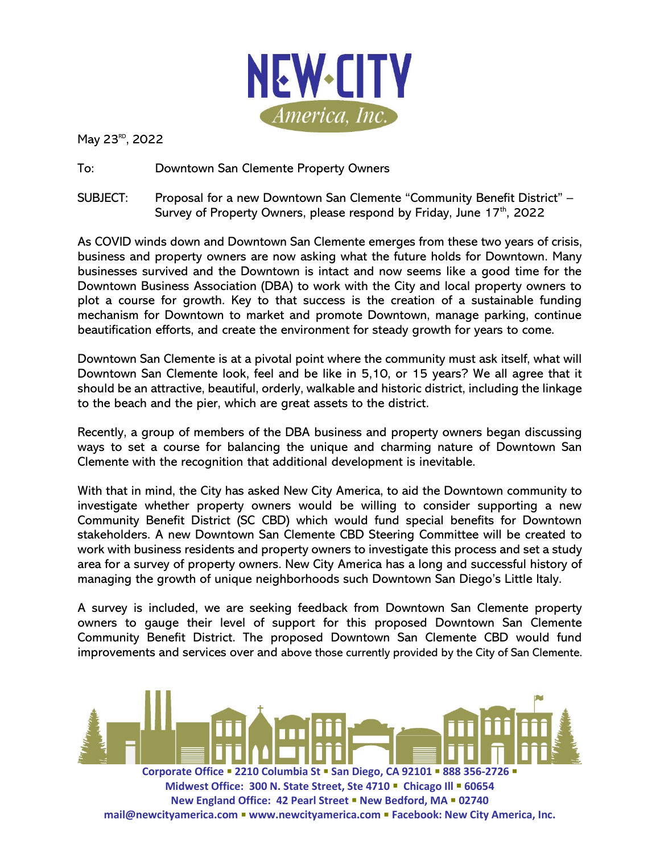

May 23<sup>RD</sup>, 2022

To: Downtown San Clemente Property Owners

SUBJECT: Proposal for a new Downtown San Clemente "Community Benefit District" – Survey of Property Owners, please respond by Friday, June  $17<sup>th</sup>$ , 2022

As COVID winds down and Downtown San Clemente emerges from these two years of crisis, business and property owners are now asking what the future holds for Downtown. Many businesses survived and the Downtown is intact and now seems like a good time for the Downtown Business Association (DBA) to work with the City and local property owners to plot a course for growth. Key to that success is the creation of a sustainable funding mechanism for Downtown to market and promote Downtown, manage parking, continue beautification efforts, and create the environment for steady growth for years to come.

Downtown San Clemente is at a pivotal point where the community must ask itself, what will Downtown San Clemente look, feel and be like in 5,10, or 15 years? We all agree that it should be an attractive, beautiful, orderly, walkable and historic district, including the linkage to the beach and the pier, which are great assets to the district.

Recently, a group of members of the DBA business and property owners began discussing ways to set a course for balancing the unique and charming nature of Downtown San Clemente with the recognition that additional development is inevitable.

With that in mind, the City has asked New City America, to aid the Downtown community to investigate whether property owners would be willing to consider supporting a new Community Benefit District (SC CBD) which would fund special benefits for Downtown stakeholders. A new Downtown San Clemente CBD Steering Committee will be created to work with business residents and property owners to investigate this process and set a study area for a survey of property owners. New City America has a long and successful history of managing the growth of unique neighborhoods such Downtown San Diego's Little Italy.

A survey is included, we are seeking feedback from Downtown San Clemente property owners to gauge their level of support for this proposed Downtown San Clemente Community Benefit District. The proposed Downtown San Clemente CBD would fund improvements and services over and above those currently provided by the City of San Clemente.

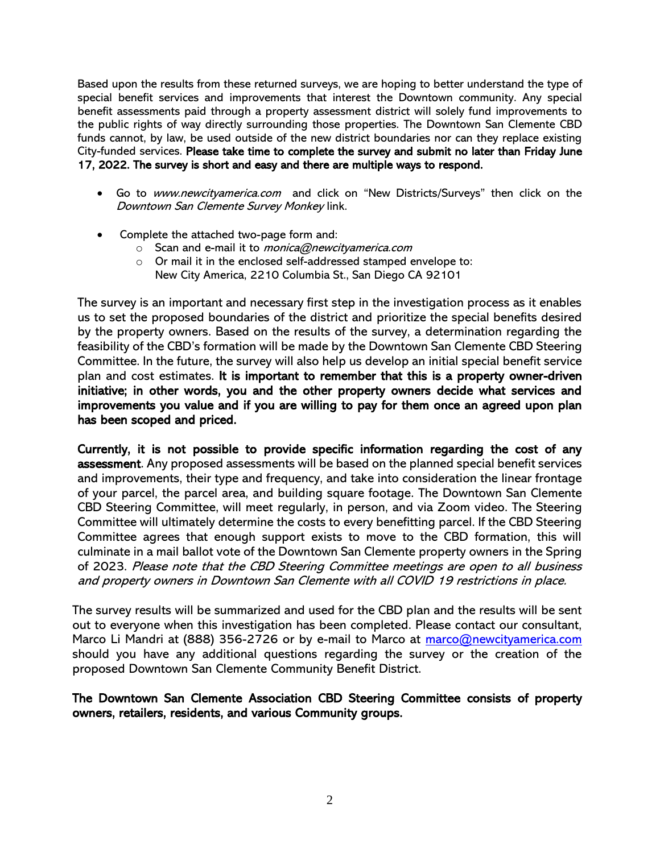Based upon the results from these returned surveys, we are hoping to better understand the type of special benefit services and improvements that interest the Downtown community. Any special benefit assessments paid through a property assessment district will solely fund improvements to the public rights of way directly surrounding those properties. The Downtown San Clemente CBD funds cannot, by law, be used outside of the new district boundaries nor can they replace existing City-funded services. Please take time to complete the survey and submit no later than Friday June 17, 2022. The survey is short and easy and there are multiple ways to respond.

- Go to [www.newcityamerica.com](http://www.newcityamerica.com/) and click on "New Districts/Surveys" then click on the Downtown San Clemente Survey Monkey link.
- Complete the attached two-page form and:
	- $\circ$  Scan and e-mail it to *[monica@newcityamerica.com](mailto:monica@newcityamerica.com)*
	- o Or mail it in the enclosed self-addressed stamped envelope to: New City America, 2210 Columbia St., San Diego CA 92101

The survey is an important and necessary first step in the investigation process as it enables us to set the proposed boundaries of the district and prioritize the special benefits desired by the property owners. Based on the results of the survey, a determination regarding the feasibility of the CBD's formation will be made by the Downtown San Clemente CBD Steering Committee. In the future, the survey will also help us develop an initial special benefit service plan and cost estimates. It is important to remember that this is a property owner-driven initiative; in other words, you and the other property owners decide what services and improvements you value and if you are willing to pay for them once an agreed upon plan has been scoped and priced.

Currently, it is not possible to provide specific information regarding the cost of any assessment. Any proposed assessments will be based on the planned special benefit services and improvements, their type and frequency, and take into consideration the linear frontage of your parcel, the parcel area, and building square footage. The Downtown San Clemente CBD Steering Committee, will meet regularly, in person, and via Zoom video. The Steering Committee will ultimately determine the costs to every benefitting parcel. If the CBD Steering Committee agrees that enough support exists to move to the CBD formation, this will culminate in a mail ballot vote of the Downtown San Clemente property owners in the Spring of 2023. Please note that the CBD Steering Committee meetings are open to all business and property owners in Downtown San Clemente with all COVID 19 restrictions in place.

The survey results will be summarized and used for the CBD plan and the results will be sent out to everyone when this investigation has been completed. Please contact our consultant, Marco Li Mandri at (888) 356-2726 or by e-mail to Marco at marco@newcityamerica.com should you have any additional questions regarding the survey or the creation of the proposed Downtown San Clemente Community Benefit District.

#### The Downtown San Clemente Association CBD Steering Committee consists of property owners, retailers, residents, and various Community groups.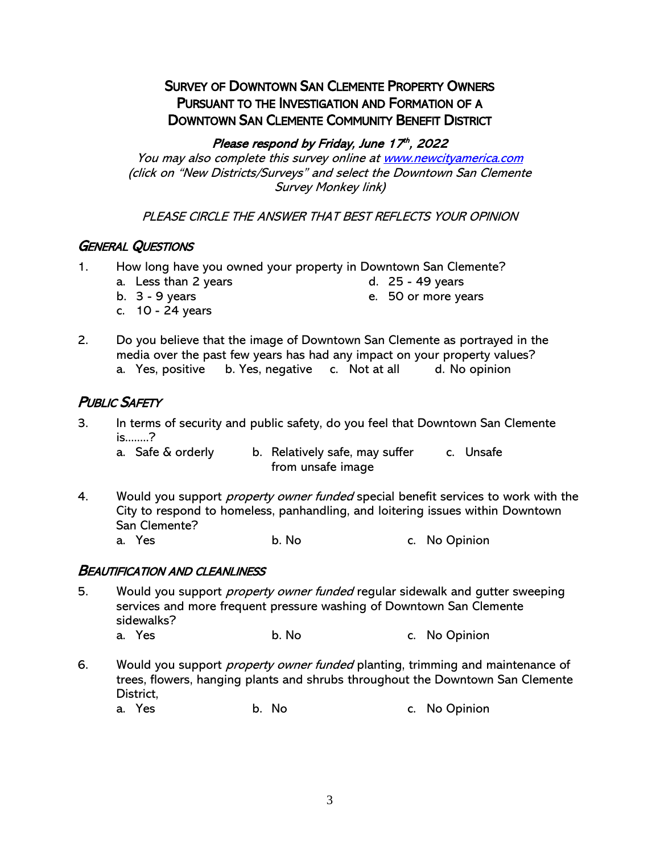# SURVEY OF DOWNTOWN SAN CLEMENTE PROPERTY OWNERS PURSUANT TO THE INVESTIGATION AND FORMATION OF A DOWNTOWN SAN CLEMENTE COMMUNITY BENEFIT DISTRICT

#### Please respond by Friday, June 17th, 2022

You may also complete this survey online a[t www.newcityamerica.com](http://www.newcityamerica.com/) (click on "New Districts/Surveys" and select the Downtown San Clemente Survey Monkey link)

PLEASE CIRCLE THE ANSWER THAT BEST REFLECTS YOUR OPINION

## GENERAL QUESTIONS

- 1. How long have you owned your property in Downtown San Clemente?
	- a. Less than 2 years d. 25 49 years
		-
- c. 10 24 years
- b. 3 9 years e. 50 or more years
- 2. Do you believe that the image of Downtown San Clemente as portrayed in the media over the past few years has had any impact on your property values?
	- a. Yes, positive b. Yes, negative c. Not at all d. No opinion

## **PUBLIC SAFETY**

3. In terms of security and public safety, do you feel that Downtown San Clemente is........?

a. Safe & orderly b. Relatively safe, may suffer c. Unsafe from unsafe image

4. Would you support *property owner funded* special benefit services to work with the City to respond to homeless, panhandling, and loitering issues within Downtown San Clemente?<br>a. Yes

b. No c. No Opinion

#### BEAUTIFICATION AND CLEANLINESS

- 5. Would you support *property owner funded* regular sidewalk and gutter sweeping services and more frequent pressure washing of Downtown San Clemente sidewalks? a. Yes b. No c. No Opinion
- 6. Would you support *property owner funded* planting, trimming and maintenance of trees, flowers, hanging plants and shrubs throughout the Downtown San Clemente District,

a. Yes b. No c. No Opinion